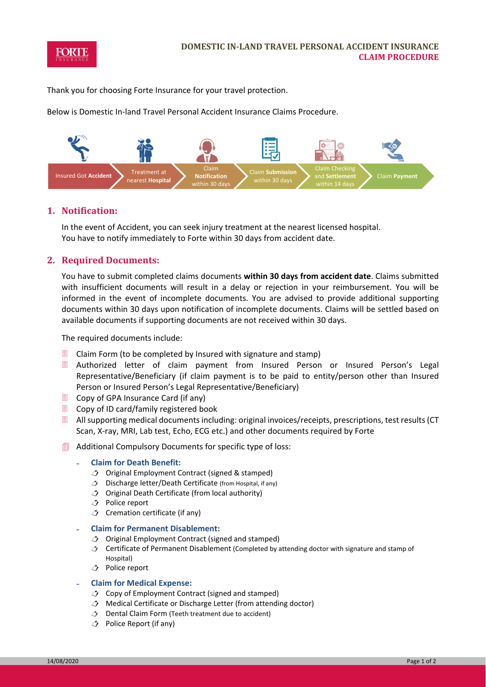

Thank you for choosing Forte Insurance for your travel protection.

Below is Domestic In‐land Travel Personal Accident Insurance Claims Procedure.



### **1. Notification:**

In the event of Accident, you can seek injury treatment at the nearest licensed hospital. You have to notify immediately to Forte within 30 days from accident date.

# **2. Required Documents:**

You have to submit completed claims documents **within 30 days from accident date**. Claims submitted with insufficient documents will result in a delay or rejection in your reimbursement. You will be informed in the event of incomplete documents. You are advised to provide additional supporting documents within 30 days upon notification of incomplete documents. Claims will be settled based on available documents if supporting documents are not received within 30 days.

The required documents include:

- $\Box$  Claim Form (to be completed by Insured with signature and stamp)
- Authorized letter of claim payment from Insured Person or Insured Person's Legal Representative/Beneficiary (if claim payment is to be paid to entity/person other than Insured Person or Insured Person's Legal Representative/Beneficiary)
- $\Box$  Copy of GPA Insurance Card (if any)
- Copy of ID card/family registered book
- All supporting medical documents including: original invoices/receipts, prescriptions, test results (CT Scan, X-ray, MRI, Lab test, Echo, ECG etc.) and other documents required by Forte
- Additional Compulsory Documents for specific type of loss:

#### ˗ **Claim for Death Benefit:**

- $\bigcirc$  Original Employment Contract (signed & stamped)
- $\circled{2}$  Discharge letter/Death Certificate (from Hospital, if any)
- $\circled{1}$  Original Death Certificate (from local authority)
- Police report
- $\triangle$  Cremation certificate (if any)

#### ˗ **Claim for Permanent Disablement:**

- $\hat{\mathcal{J}}$  Original Employment Contract (signed and stamped)
- $\circledcirc$  Certificate of Permanent Disablement (Completed by attending doctor with signature and stamp of Hospital)
- Police report

#### ˗ **Claim for Medical Expense:**

- $\triangle$  Copy of Employment Contract (signed and stamped)
- Medical Certificate or Discharge Letter (from attending doctor)
- $\hat{O}$  Dental Claim Form (Teeth treatment due to accident)
- Police Report (if any)